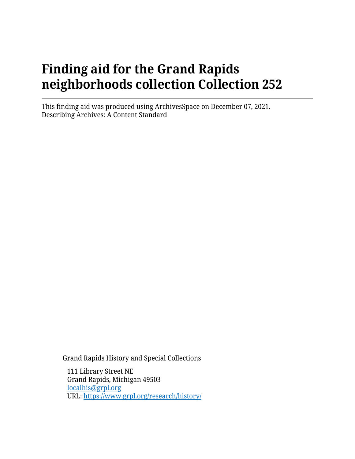# **Finding aid for the Grand Rapids neighborhoods collection Collection 252**

This finding aid was produced using ArchivesSpace on December 07, 2021. Describing Archives: A Content Standard

Grand Rapids History and Special Collections

111 Library Street NE Grand Rapids, Michigan 49503 [localhis@grpl.org](mailto:localhis@grpl.org) URL:<https://www.grpl.org/research/history/>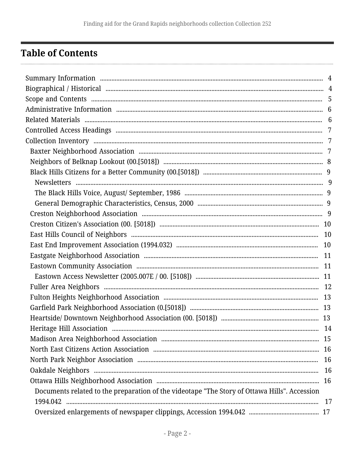## <span id="page-1-0"></span>**Table of Contents**

| Documents related to the preparation of the videotape "The Story of Ottawa Hills". Accession |    |
|----------------------------------------------------------------------------------------------|----|
|                                                                                              | 17 |
|                                                                                              |    |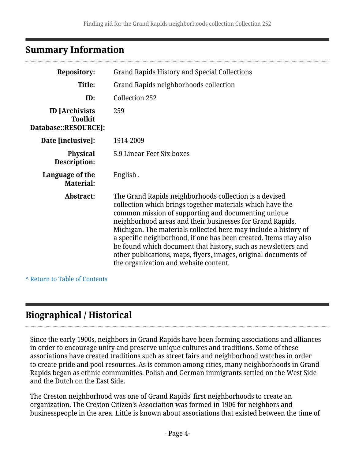## <span id="page-3-0"></span>**Summary Information**

| <b>Repository:</b>                                              | <b>Grand Rapids History and Special Collections</b>                                                                                                                                                                                                                                                                                                                                                                                                                                                                                                         |
|-----------------------------------------------------------------|-------------------------------------------------------------------------------------------------------------------------------------------------------------------------------------------------------------------------------------------------------------------------------------------------------------------------------------------------------------------------------------------------------------------------------------------------------------------------------------------------------------------------------------------------------------|
| Title:                                                          | Grand Rapids neighborhoods collection                                                                                                                                                                                                                                                                                                                                                                                                                                                                                                                       |
| ID:                                                             | Collection 252                                                                                                                                                                                                                                                                                                                                                                                                                                                                                                                                              |
| <b>ID</b> [Archivists<br><b>Toolkit</b><br>Database::RESOURCE]: | 259                                                                                                                                                                                                                                                                                                                                                                                                                                                                                                                                                         |
| Date [inclusive]:                                               | 1914-2009                                                                                                                                                                                                                                                                                                                                                                                                                                                                                                                                                   |
| <b>Physical</b><br>Description:                                 | 5.9 Linear Feet Six boxes                                                                                                                                                                                                                                                                                                                                                                                                                                                                                                                                   |
| Language of the<br><b>Material:</b>                             | English.                                                                                                                                                                                                                                                                                                                                                                                                                                                                                                                                                    |
| Abstract:                                                       | The Grand Rapids neighborhoods collection is a devised<br>collection which brings together materials which have the<br>common mission of supporting and documenting unique<br>neighborhood areas and their businesses for Grand Rapids,<br>Michigan. The materials collected here may include a history of<br>a specific neighborhood, if one has been created. Items may also<br>be found which document that history, such as newsletters and<br>other publications, maps, flyers, images, original documents of<br>the organization and website content. |

**^** [Return to Table of Contents](#page-1-0)

## <span id="page-3-1"></span>**Biographical / Historical**

Since the early 1900s, neighbors in Grand Rapids have been forming associations and alliances in order to encourage unity and preserve unique cultures and traditions. Some of these associations have created traditions such as street fairs and neighborhood watches in order to create pride and pool resources. As is common among cities, many neighborhoods in Grand Rapids began as ethnic communities. Polish and German immigrants settled on the West Side and the Dutch on the East Side.

The Creston neighborhood was one of Grand Rapids' first neighborhoods to create an organization. The Creston Citizen's Association was formed in 1906 for neighbors and businesspeople in the area. Little is known about associations that existed between the time of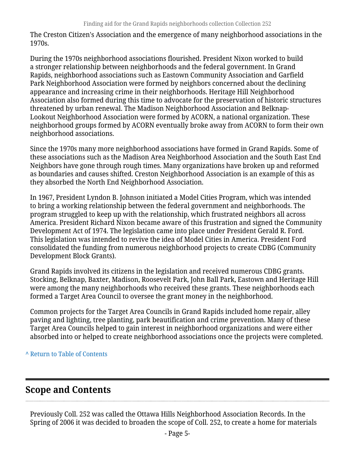The Creston Citizen's Association and the emergence of many neighborhood associations in the 1970s.

During the 1970s neighborhood associations flourished. President Nixon worked to build a stronger relationship between neighborhoods and the federal government. In Grand Rapids, neighborhood associations such as Eastown Community Association and Garfield Park Neighborhood Association were formed by neighbors concerned about the declining appearance and increasing crime in their neighborhoods. Heritage Hill Neighborhood Association also formed during this time to advocate for the preservation of historic structures threatened by urban renewal. The Madison Neighborhood Association and Belknap-Lookout Neighborhood Association were formed by ACORN, a national organization. These neighborhood groups formed by ACORN eventually broke away from ACORN to form their own neighborhood associations.

Since the 1970s many more neighborhood associations have formed in Grand Rapids. Some of these associations such as the Madison Area Neighborhood Association and the South East End Neighbors have gone through rough times. Many organizations have broken up and reformed as boundaries and causes shifted. Creston Neighborhood Association is an example of this as they absorbed the North End Neighborhood Association.

In 1967, President Lyndon B. Johnson initiated a Model Cities Program, which was intended to bring a working relationship between the federal government and neighborhoods. The program struggled to keep up with the relationship, which frustrated neighbors all across America. President Richard Nixon became aware of this frustration and signed the Community Development Act of 1974. The legislation came into place under President Gerald R. Ford. This legislation was intended to revive the idea of Model Cities in America. President Ford consolidated the funding from numerous neighborhood projects to create CDBG (Community Development Block Grants).

Grand Rapids involved its citizens in the legislation and received numerous CDBG grants. Stocking, Belknap, Baxter, Madison, Roosevelt Park, John Ball Park, Eastown and Heritage Hill were among the many neighborhoods who received these grants. These neighborhoods each formed a Target Area Council to oversee the grant money in the neighborhood.

Common projects for the Target Area Councils in Grand Rapids included home repair, alley paving and lighting, tree planting, park beautification and crime prevention. Many of these Target Area Councils helped to gain interest in neighborhood organizations and were either absorbed into or helped to create neighborhood associations once the projects were completed.

**^** [Return to Table of Contents](#page-1-0)

## <span id="page-4-0"></span>**Scope and Contents**

Previously Coll. 252 was called the Ottawa Hills Neighborhood Association Records. In the Spring of 2006 it was decided to broaden the scope of Coll. 252, to create a home for materials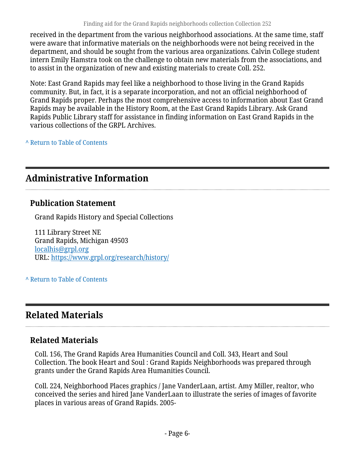received in the department from the various neighborhood associations. At the same time, staff were aware that informative materials on the neighborhoods were not being received in the department, and should be sought from the various area organizations. Calvin College student intern Emily Hamstra took on the challenge to obtain new materials from the associations, and to assist in the organization of new and existing materials to create Coll. 252.

Note: East Grand Rapids may feel like a neighborhood to those living in the Grand Rapids community. But, in fact, it is a separate incorporation, and not an official neighborhood of Grand Rapids proper. Perhaps the most comprehensive access to information about East Grand Rapids may be available in the History Room, at the East Grand Rapids Library. Ask Grand Rapids Public Library staff for assistance in finding information on East Grand Rapids in the various collections of the GRPL Archives.

**^** [Return to Table of Contents](#page-1-0)

## <span id="page-5-0"></span>**Administrative Information**

### **Publication Statement**

Grand Rapids History and Special Collections

111 Library Street NE Grand Rapids, Michigan 49503 [localhis@grpl.org](mailto:localhis@grpl.org) URL:<https://www.grpl.org/research/history/>

**^** [Return to Table of Contents](#page-1-0)

## <span id="page-5-1"></span>**Related Materials**

## **Related Materials**

Coll. 156, The Grand Rapids Area Humanities Council and Coll. 343, Heart and Soul Collection. The book Heart and Soul : Grand Rapids Neighborhoods was prepared through grants under the Grand Rapids Area Humanities Council.

Coll. 224, Neighborhood Places graphics / Jane VanderLaan, artist. Amy Miller, realtor, who conceived the series and hired Jane VanderLaan to illustrate the series of images of favorite places in various areas of Grand Rapids. 2005-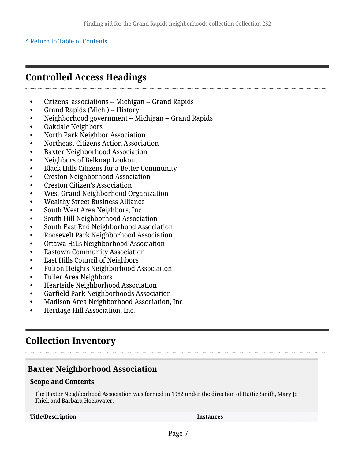## <span id="page-6-0"></span>**Controlled Access Headings**

- Citizens' associations -- Michigan -- Grand Rapids
- Grand Rapids (Mich.) -- History
- Neighborhood government -- Michigan -- Grand Rapids
- Oakdale Neighbors
- North Park Neighbor Association
- Northeast Citizens Action Association
- Baxter Neighborhood Association
- Neighbors of Belknap Lookout
- Black Hills Citizens for a Better Community
- Creston Neighborhood Association
- Creston Citizen's Association
- West Grand Neighborhood Organization
- Wealthy Street Business Alliance
- South West Area Neighbors, Inc
- South Hill Neighborhood Association
- South East End Neighborhood Association
- Roosevelt Park Neighborhood Association
- Ottawa Hills Neighborhood Association
- **Eastown Community Association**
- East Hills Council of Neighbors
- Fulton Heights Neighborhood Association
- Fuller Area Neighbors
- Heartside Neighborhood Association
- Garfield Park Neighborhoods Association
- Madison Area Neighborhood Association, Inc
- Heritage Hill Association, Inc.

## <span id="page-6-1"></span>**Collection Inventory**

### <span id="page-6-2"></span>**Baxter Neighborhood Association**

### **Scope and Contents**

The Baxter Neighborhood Association was formed in 1982 under the direction of Hattie Smith, Mary Jo Thiel, and Barbara Hoekwater.

**Title/Description Instances**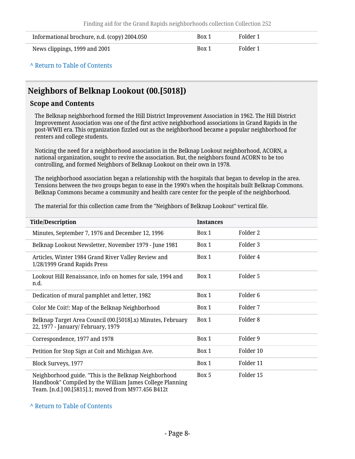| Informational brochure, n.d. (copy) 2004.050 | Box 1 | Folder 1 |
|----------------------------------------------|-------|----------|
| News clippings, 1999 and 2001                | Box 1 | Folder 1 |

## <span id="page-7-0"></span>**Neighbors of Belknap Lookout (00.[5018])**

#### **Scope and Contents**

The Belknap neighborhood formed the Hill District Improvement Association in 1962. The Hill District Improvement Association was one of the first active neighborhood associations in Grand Rapids in the post-WWII era. This organization fizzled out as the neighborhood became a popular neighborhood for renters and college students.

Noticing the need for a neighborhood association in the Belknap Lookout neighborhood, ACORN, a national organization, sought to revive the association. But, the neighbors found ACORN to be too controlling, and formed Neighbors of Belknap Lookout on their own in 1978.

The neighborhood association began a relationship with the hospitals that began to develop in the area. Tensions between the two groups began to ease in the 1990's when the hospitals built Belknap Commons. Belknap Commons became a community and health care center for the people of the neighborhood.

The material for this collection came from the "Neighbors of Belknap Lookout" vertical file.

| <b>Title/Description</b>                                                                                          | <b>Instances</b> |                     |
|-------------------------------------------------------------------------------------------------------------------|------------------|---------------------|
| Minutes, September 7, 1976 and December 12, 1996                                                                  | Box 1            | Folder 2            |
| Belknap Lookout Newsletter, November 1979 - June 1981                                                             | Box 1            | Folder 3            |
| Articles, Winter 1984 Grand River Valley Review and<br>1/28/1999 Grand Rapids Press                               | Box 1            | Folder 4            |
| Lookout Hill Renaissance, info on homes for sale, 1994 and<br>n.d.                                                | Box 1            | Folder 5            |
| Dedication of mural pamphlet and letter, 1982                                                                     | Box 1            | Folder <sub>6</sub> |
| Color Me Coit!: Map of the Belknap Neighborhood                                                                   | Box 1            | Folder 7            |
| Belknap Target Area Council (00.[5018].x) Minutes, February<br>22, 1977 - January/ February, 1979                 | Box 1            | Folder <sub>8</sub> |
| Correspondence, 1977 and 1978                                                                                     | Box 1            | Folder 9            |
| Petition for Stop Sign at Coit and Michigan Ave.                                                                  | Box 1            | Folder 10           |
| Block Surveys, 1977                                                                                               | Box 1            | Folder 11           |
| Neighborhood guide. "This is the Belknap Neighborhood<br>Handbook" Compiled by the William James College Planning | Box 5            | Folder 15           |

Team. [n.d.] 00.[5815].1; moved from M977.456 B412t

#### **^** [Return to Table of Contents](#page-1-0)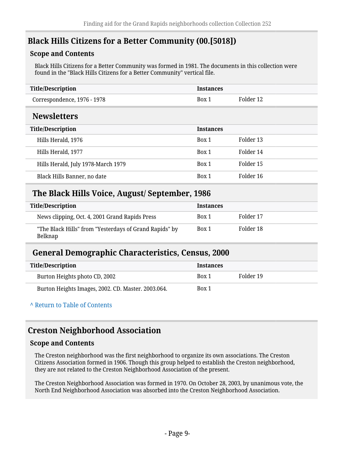## <span id="page-8-0"></span>**Black Hills Citizens for a Better Community (00.[5018])**

### **Scope and Contents**

Black Hills Citizens for a Better Community was formed in 1981. The documents in this collection were found in the "Black Hills Citizens for a Better Community" vertical file.

<span id="page-8-1"></span>

| <b>Title/Description</b>           | <b>Instances</b> |           |
|------------------------------------|------------------|-----------|
| Correspondence, 1976 - 1978        | Box 1            | Folder 12 |
| <b>Newsletters</b>                 |                  |           |
| <b>Title/Description</b>           | <b>Instances</b> |           |
| Hills Herald, 1976                 | Box 1            | Folder 13 |
| Hills Herald, 1977                 | Box 1            | Folder 14 |
| Hills Herald, July 1978-March 1979 | Box 1            | Folder 15 |
| Black Hills Banner, no date        | Box 1            | Folder 16 |

### <span id="page-8-2"></span>**The Black Hills Voice, August/ September, 1986**

| Title/Description                                                 | <b>Instances</b> |           |
|-------------------------------------------------------------------|------------------|-----------|
| News clipping, Oct. 4, 2001 Grand Rapids Press                    | Box 1            | Folder 17 |
| "The Black Hills" from "Yesterdays of Grand Rapids" by<br>Belknap | Box 1            | Folder 18 |

### <span id="page-8-3"></span>**General Demographic Characteristics, Census, 2000**

| Title/Description                                  | <b>Instances</b> |           |
|----------------------------------------------------|------------------|-----------|
| Burton Heights photo CD, 2002                      | Box 1            | Folder 19 |
| Burton Heights Images, 2002. CD. Master. 2003.064. | Box 1            |           |

**^** [Return to Table of Contents](#page-1-0)

## <span id="page-8-4"></span>**Creston Neighborhood Association**

### **Scope and Contents**

The Creston neighborhood was the first neighborhood to organize its own associations. The Creston Citizens Association formed in 1906. Though this group helped to establish the Creston neighborhood, they are not related to the Creston Neighborhood Association of the present.

The Creston Neighborhood Association was formed in 1970. On October 28, 2003, by unanimous vote, the North End Neighborhood Association was absorbed into the Creston Neighborhood Association.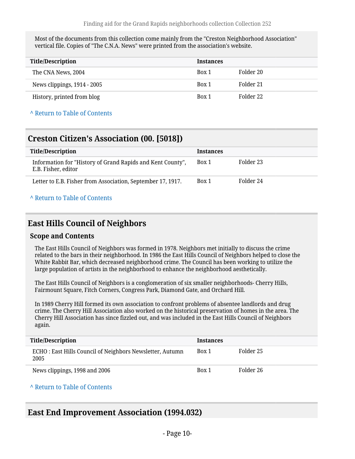Most of the documents from this collection come mainly from the "Creston Neighborhood Association" vertical file. Copies of "The C.N.A. News" were printed from the association's website.

| <b>Title/Description</b>    | <b>Instances</b> |           |
|-----------------------------|------------------|-----------|
| The CNA News, 2004          | Box 1            | Folder 20 |
| News clippings, 1914 - 2005 | Box 1            | Folder 21 |
| History, printed from blog  | Box 1            | Folder 22 |

#### **^** [Return to Table of Contents](#page-1-0)

### <span id="page-9-0"></span>**Creston Citizen's Association (00. [5018])**

| <b>Title/Description</b>                                                          | <b>Instances</b> |           |
|-----------------------------------------------------------------------------------|------------------|-----------|
| Information for "History of Grand Rapids and Kent County",<br>E.B. Fisher, editor | Box 1            | Folder 23 |
| Letter to E.B. Fisher from Association, September 17, 1917.                       | Box 1            | Folder 24 |

#### **^** [Return to Table of Contents](#page-1-0)

### <span id="page-9-1"></span>**East Hills Council of Neighbors**

#### **Scope and Contents**

The East Hills Council of Neighbors was formed in 1978. Neighbors met initially to discuss the crime related to the bars in their neighborhood. In 1986 the East Hills Council of Neighbors helped to close the White Rabbit Bar, which decreased neighborhood crime. The Council has been working to utilize the large population of artists in the neighborhood to enhance the neighborhood aesthetically.

The East Hills Council of Neighbors is a conglomeration of six smaller neighborhoods- Cherry Hills, Fairmount Square, Fitch Corners, Congress Park, Diamond Gate, and Orchard Hill.

In 1989 Cherry Hill formed its own association to confront problems of absentee landlords and drug crime. The Cherry Hill Association also worked on the historical preservation of homes in the area. The Cherry Hill Association has since fizzled out, and was included in the East Hills Council of Neighbors again.

| Title/Description                                                 | <b>Instances</b> |           |
|-------------------------------------------------------------------|------------------|-----------|
| ECHO : East Hills Council of Neighbors Newsletter, Autumn<br>2005 | Box 1            | Folder 25 |
| News clippings, 1998 and 2006                                     | Box 1            | Folder 26 |

#### **^** [Return to Table of Contents](#page-1-0)

### <span id="page-9-2"></span>**East End Improvement Association (1994.032)**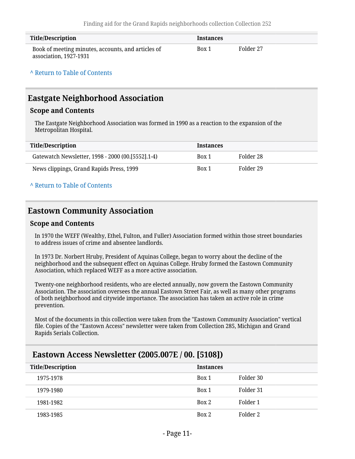| <b>Title/Description</b>                                                     | <b>Instances</b> |           |
|------------------------------------------------------------------------------|------------------|-----------|
| Book of meeting minutes, accounts, and articles of<br>association, 1927-1931 | Box 1            | Folder 27 |

## <span id="page-10-0"></span>**Eastgate Neighborhood Association**

#### **Scope and Contents**

The Eastgate Neighborhood Association was formed in 1990 as a reaction to the expansion of the Metropolitan Hospital.

| Title/Description                                 | <b>Instances</b> |           |
|---------------------------------------------------|------------------|-----------|
| Gatewatch Newsletter, 1998 - 2000 (00.[5552].1-4) | Box 1            | Folder 28 |
| News clippings, Grand Rapids Press, 1999          | Box 1            | Folder 29 |

**^** [Return to Table of Contents](#page-1-0)

## <span id="page-10-1"></span>**Eastown Community Association**

#### **Scope and Contents**

In 1970 the WEFF (Wealthy, Ethel, Fulton, and Fuller) Association formed within those street boundaries to address issues of crime and absentee landlords.

In 1973 Dr. Norbert Hruby, President of Aquinas College, began to worry about the decline of the neighborhood and the subsequent effect on Aquinas College. Hruby formed the Eastown Community Association, which replaced WEFF as a more active association.

Twenty-one neighborhood residents, who are elected annually, now govern the Eastown Community Association. The association oversees the annual Eastown Street Fair, as well as many other programs of both neighborhood and citywide importance. The association has taken an active role in crime prevention.

Most of the documents in this collection were taken from the "Eastown Community Association" vertical file. Copies of the "Eastown Access" newsletter were taken from Collection 285, Michigan and Grand Rapids Serials Collection.

| <b>Title/Description</b> | <b>Instances</b> |           |
|--------------------------|------------------|-----------|
| 1975-1978                | Box 1            | Folder 30 |
| 1979-1980                | Box 1            | Folder 31 |
| 1981-1982                | Box 2            | Folder 1  |
| 1983-1985                | Box 2            | Folder 2  |

### <span id="page-10-2"></span>**Eastown Access Newsletter (2005.007E / 00. [5108])**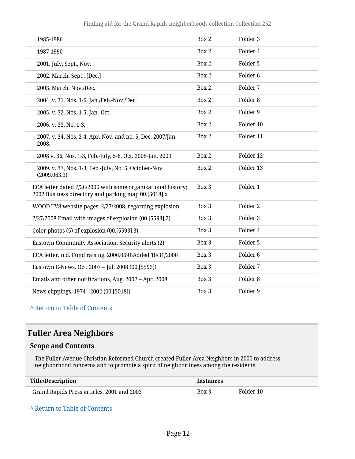| 1985-1986                                                                                                           | Box 2 | Folder 3            |
|---------------------------------------------------------------------------------------------------------------------|-------|---------------------|
| 1987-1990                                                                                                           | Box 2 | Folder 4            |
| 2001. July, Sept., Nov.                                                                                             | Box 2 | Folder 5            |
| 2002. March, Sept., [Dec.]                                                                                          | Box 2 | Folder <sub>6</sub> |
| 2003. March, Nov./Dec.                                                                                              | Box 2 | Folder 7            |
| 2004. v. 31. Nos. 1-6, Jan./Feb.-Nov./Dec.                                                                          | Box 2 | Folder 8            |
| 2005. v. 32. Nos. 1-5, Jan.-Oct.                                                                                    | Box 2 | Folder 9            |
| 2006. v. 33, No. 1-3,                                                                                               | Box 2 | Folder 10           |
| 2007. v. 34, Nos. 2-4, Apr.-Nov. and no. 5, Dec. 2007/Jan.<br>2008.                                                 | Box 2 | Folder 11           |
| 2008 v. 36, Nos. 1-3, Feb.-July, 5-6, Oct. 2008-Jan. 2009                                                           | Box 2 | Folder 12           |
| 2009. v. 37, Nos. 1-3, Feb.-July, No. 5, October-Nov<br>(2009.063.3)                                                | Box 2 | Folder 13           |
| ECA letter dated 7/26/2006 with some organizational history;<br>2002 Business directory and parking map 00.[5018].x | Box 3 | Folder 1            |
| WOOD TV8 website pages, 2/27/2008, regarding explosion                                                              | Box 3 | Folder 2            |
| 2/27/2008 Email with images of explosion (00.[5593].2)                                                              | Box 3 | Folder 3            |
| Color photos (5) of explosion (00.[5593].3)                                                                         | Box 3 | Folder 4            |
| Eastown Community Association. Security alerts.(2)                                                                  | Box 3 | Folder 5            |
| ECA letter, n.d. Fund raising. 2006.069BAdded 10/31/2006                                                            | Box 3 | Folder <sub>6</sub> |
| Eastown E-News. Oct. 2007 - Jul. 2008 (00.[5593])                                                                   | Box 3 | Folder 7            |
| Emails and other notifications, Aug. 2007 - Apr. 2008                                                               | Box 3 | Folder 8            |
| News clippings, 1974 - 2002 (00.[5018])                                                                             | Box 3 | Folder 9            |

## <span id="page-11-0"></span>**Fuller Area Neighbors**

### **Scope and Contents**

The Fuller Avenue Christian Reformed Church created Fuller Area Neighbors in 2000 to address neighborhood concerns and to promote a spirit of neighborliness among the residents.

| <b>Title/Description</b>                   | <b>Instances</b> |           |
|--------------------------------------------|------------------|-----------|
| Grand Rapids Press articles, 2001 and 2003 | Box 3            | Folder 10 |

**^** [Return to Table of Contents](#page-1-0)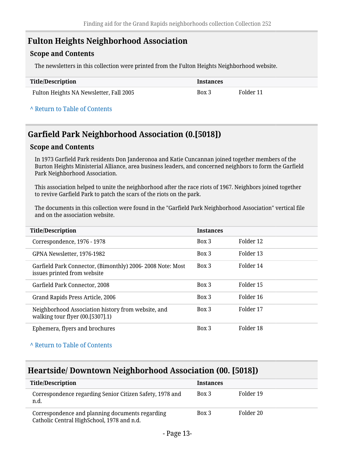## <span id="page-12-0"></span>**Fulton Heights Neighborhood Association**

### **Scope and Contents**

The newsletters in this collection were printed from the Fulton Heights Neighborhood website.

| Title/Description                       | Instances |           |
|-----------------------------------------|-----------|-----------|
| Fulton Heights NA Newsletter, Fall 2005 | Box 3     | Folder 11 |

#### **^** [Return to Table of Contents](#page-1-0)

## <span id="page-12-1"></span>**Garfield Park Neighborhood Association (0.[5018])**

#### **Scope and Contents**

In 1973 Garfield Park residents Don Janderonoa and Katie Cuncannan joined together members of the Burton Heights Ministerial Alliance, area business leaders, and concerned neighbors to form the Garfield Park Neighborhood Association.

This association helped to unite the neighborhood after the race riots of 1967. Neighbors joined together to revive Garfield Park to patch the scars of the riots on the park.

The documents in this collection were found in the "Garfield Park Neighborhood Association" vertical file and on the association website.

| <b>Title/Description</b>                                                                 | <b>Instances</b> |           |
|------------------------------------------------------------------------------------------|------------------|-----------|
| Correspondence, 1976 - 1978                                                              | Box 3            | Folder 12 |
| GPNA Newsletter, 1976-1982                                                               | Box 3            | Folder 13 |
| Garfield Park Connector, (Bimonthly) 2006-2008 Note: Most<br>issues printed from website | Box 3            | Folder 14 |
| Garfield Park Connector, 2008                                                            | Box 3            | Folder 15 |
| Grand Rapids Press Article, 2006                                                         | Box 3            | Folder 16 |
| Neighborhood Association history from website, and<br>walking tour flyer $(00.5307).1)$  | Box 3            | Folder 17 |
| Ephemera, flyers and brochures                                                           | Box 3            | Folder 18 |

**^** [Return to Table of Contents](#page-1-0)

## <span id="page-12-2"></span>**Heartside/ Downtown Neighborhood Association (00. [5018])**

| <b>Title/Description</b>                                                                      | <b>Instances</b> |           |
|-----------------------------------------------------------------------------------------------|------------------|-----------|
| Correspondence regarding Senior Citizen Safety, 1978 and<br>n.d.                              | Box 3            | Folder 19 |
| Correspondence and planning documents regarding<br>Catholic Central HighSchool, 1978 and n.d. | Box 3            | Folder 20 |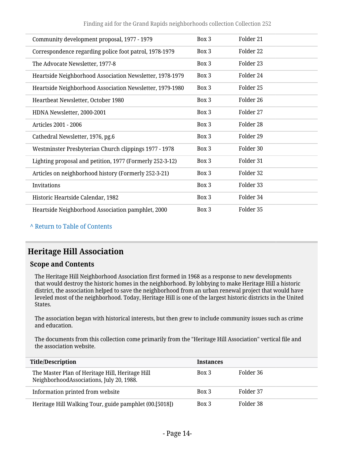| Box 3 | Folder 21 |
|-------|-----------|
| Box 3 | Folder 22 |
| Box 3 | Folder 23 |
| Box 3 | Folder 24 |
| Box 3 | Folder 25 |
| Box 3 | Folder 26 |
| Box 3 | Folder 27 |
| Box 3 | Folder 28 |
| Box 3 | Folder 29 |
| Box 3 | Folder 30 |
| Box 3 | Folder 31 |
| Box 3 | Folder 32 |
| Box 3 | Folder 33 |
| Box 3 | Folder 34 |
| Box 3 | Folder 35 |
|       |           |

## <span id="page-13-0"></span>**Heritage Hill Association**

#### **Scope and Contents**

The Heritage Hill Neighborhood Association first formed in 1968 as a response to new developments that would destroy the historic homes in the neighborhood. By lobbying to make Heritage Hill a historic district, the association helped to save the neighborhood from an urban renewal project that would have leveled most of the neighborhood. Today, Heritage Hill is one of the largest historic districts in the United States.

The association began with historical interests, but then grew to include community issues such as crime and education.

The documents from this collection come primarily from the "Heritage Hill Association" vertical file and the association website.

| <b>Title/Description</b>                                                                    | <b>Instances</b> |           |
|---------------------------------------------------------------------------------------------|------------------|-----------|
| The Master Plan of Heritage Hill, Heritage Hill<br>NeighborhoodAssociations, July 20, 1988. | Box 3            | Folder 36 |
| Information printed from website                                                            | Box 3            | Folder 37 |
| Heritage Hill Walking Tour, guide pamphlet (00.[5018])                                      | Box 3            | Folder 38 |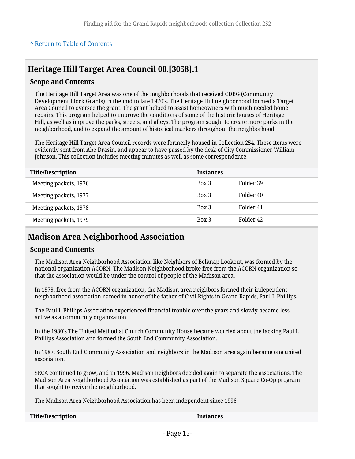## **Heritage Hill Target Area Council 00.[3058].1**

#### **Scope and Contents**

The Heritage Hill Target Area was one of the neighborhoods that received CDBG (Community Development Block Grants) in the mid to late 1970's. The Heritage Hill neighborhood formed a Target Area Council to oversee the grant. The grant helped to assist homeowners with much needed home repairs. This program helped to improve the conditions of some of the historic houses of Heritage Hill, as well as improve the parks, streets, and alleys. The program sought to create more parks in the neighborhood, and to expand the amount of historical markers throughout the neighborhood.

The Heritage Hill Target Area Council records were formerly housed in Collection 254. These items were evidently sent from Abe Drasin, and appear to have passed by the desk of City Commissioner William Johnson. This collection includes meeting minutes as well as some correspondence.

| <b>Title/Description</b> | <b>Instances</b> |           |
|--------------------------|------------------|-----------|
| Meeting packets, 1976    | Box 3            | Folder 39 |
| Meeting packets, 1977    | Box 3            | Folder 40 |
| Meeting packets, 1978    | Box 3            | Folder 41 |
| Meeting packets, 1979    | Box 3            | Folder 42 |

### <span id="page-14-0"></span>**Madison Area Neighborhood Association**

#### **Scope and Contents**

The Madison Area Neighborhood Association, like Neighbors of Belknap Lookout, was formed by the national organization ACORN. The Madison Neighborhood broke free from the ACORN organization so that the association would be under the control of people of the Madison area.

In 1979, free from the ACORN organization, the Madison area neighbors formed their independent neighborhood association named in honor of the father of Civil Rights in Grand Rapids, Paul I. Phillips.

The Paul I. Phillips Association experienced financial trouble over the years and slowly became less active as a community organization.

In the 1980's The United Methodist Church Community House became worried about the lacking Paul I. Phillips Association and formed the South End Community Association.

In 1987, South End Community Association and neighbors in the Madison area again became one united association.

SECA continued to grow, and in 1996, Madison neighbors decided again to separate the associations. The Madison Area Neighborhood Association was established as part of the Madison Square Co-Op program that sought to revive the neighborhood.

The Madison Area Neighborhood Association has been independent since 1996.

| Instances |
|-----------|
|           |
|           |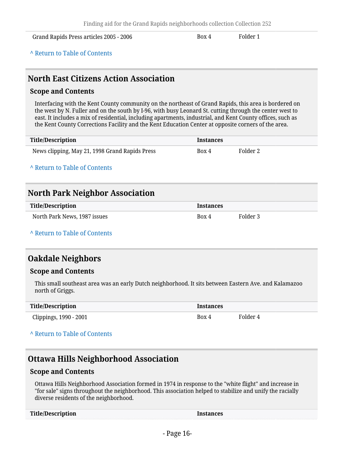Grand Rapids Press articles 2005 - 2006 **Box 4** Folder 1

**^** [Return to Table of Contents](#page-1-0)

### <span id="page-15-0"></span>**North East Citizens Action Association**

#### **Scope and Contents**

Interfacing with the Kent County community on the northeast of Grand Rapids, this area is bordered on the west by N. Fuller and on the south by I-96, with busy Leonard St. cutting through the center west to east. It includes a mix of residential, including apartments, industrial, and Kent County offices, such as the Kent County Corrections Facility and the Kent Education Center at opposite corners of the area.

| Title/Description                              | <b>Instances</b> |          |
|------------------------------------------------|------------------|----------|
| News clipping, May 21, 1998 Grand Rapids Press | Box 4            | Folder 2 |

**^** [Return to Table of Contents](#page-1-0)

## <span id="page-15-1"></span>**North Park Neighbor Association**

| Title/Description            | <b>Instances</b> |          |
|------------------------------|------------------|----------|
| North Park News, 1987 issues | Box 4            | Folder 3 |

**^** [Return to Table of Contents](#page-1-0)

### <span id="page-15-2"></span>**Oakdale Neighbors**

#### **Scope and Contents**

This small southeast area was an early Dutch neighborhood. It sits between Eastern Ave. and Kalamazoo north of Griggs.

| <b>Title/Description</b> | <b>Instances</b> |          |
|--------------------------|------------------|----------|
| Clippings, 1990 - 2001   | Box 4            | Folder 4 |

#### **^** [Return to Table of Contents](#page-1-0)

### <span id="page-15-3"></span>**Ottawa Hills Neighborhood Association**

#### **Scope and Contents**

Ottawa Hills Neighborhood Association formed in 1974 in response to the "white flight" and increase in "for sale" signs throughout the neighborhood. This association helped to stabilize and unify the racially diverse residents of the neighborhood.

| <b>Title/Description</b> | <b>Instances</b> |
|--------------------------|------------------|
|--------------------------|------------------|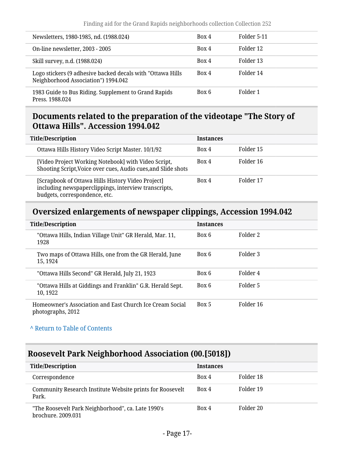| Newsletters, 1980-1985, nd. (1988.024)                                                            | Box 4 | Folder 5-11 |
|---------------------------------------------------------------------------------------------------|-------|-------------|
| On-line newsletter, 2003 - 2005                                                                   | Box 4 | Folder 12   |
| Skill survey, n.d. (1988.024)                                                                     | Box 4 | Folder 13   |
| Logo stickers (9 adhesive backed decals with "Ottawa Hills<br>Neighborhood Association") 1994.042 | Box 4 | Folder 14   |
| 1983 Guide to Bus Riding. Supplement to Grand Rapids<br>Press. 1988.024                           | Box 6 | Folder 1    |

### <span id="page-16-0"></span>**Documents related to the preparation of the videotape "The Story of Ottawa Hills". Accession 1994.042**

| <b>Title/Description</b>                                                                                                                   | <b>Instances</b> |           |
|--------------------------------------------------------------------------------------------------------------------------------------------|------------------|-----------|
| Ottawa Hills History Video Script Master. 10/1/92                                                                                          | Box 4            | Folder 15 |
| [Video Project Working Notebook] with Video Script,<br>Shooting Script, Voice over cues, Audio cues, and Slide shots                       | Box 4            | Folder 16 |
| [Scrapbook of Ottawa Hills History Video Project]<br>including newspaperclippings, interview transcripts,<br>budgets, correspondence, etc. | Box 4            | Folder 17 |

## <span id="page-16-1"></span>**Oversized enlargements of newspaper clippings, Accession 1994.042**

| <b>Title/Description</b>                                                      | <b>Instances</b> |           |
|-------------------------------------------------------------------------------|------------------|-----------|
| "Ottawa Hills, Indian Village Unit" GR Herald, Mar. 11,<br>1928               | Box 6            | Folder 2  |
| Two maps of Ottawa Hills, one from the GR Herald, June<br>15, 1924            | Box 6            | Folder 3  |
| "Ottawa Hills Second" GR Herald, July 21, 1923                                | Box 6            | Folder 4  |
| "Ottawa Hills at Giddings and Franklin" G.R. Herald Sept.<br>10, 1922         | Box 6            | Folder 5  |
| Homeowner's Association and East Church Ice Cream Social<br>photographs, 2012 | Box 5            | Folder 16 |

### **^** [Return to Table of Contents](#page-1-0)

## <span id="page-16-2"></span>**Roosevelt Park Neighborhood Association (00.[5018])**

| <b>Title/Description</b>                                                 | <b>Instances</b> |           |
|--------------------------------------------------------------------------|------------------|-----------|
| Correspondence                                                           | Box 4            | Folder 18 |
| Community Research Institute Website prints for Roosevelt<br>Park.       | Box 4            | Folder 19 |
| "The Roosevelt Park Neighborhood", ca. Late 1990's<br>brochure, 2009.031 | Box 4            | Folder 20 |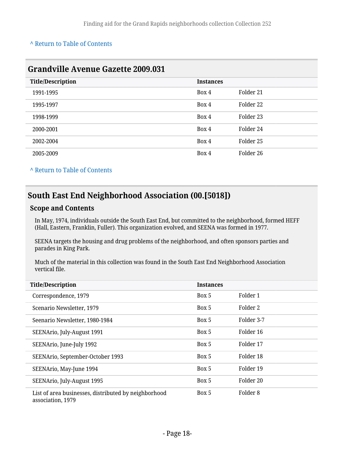<span id="page-17-0"></span>

| <b>Grandville Avenue Gazette 2009.031</b> |                  |           |  |
|-------------------------------------------|------------------|-----------|--|
| <b>Title/Description</b>                  | <b>Instances</b> |           |  |
| 1991-1995                                 | Box 4            | Folder 21 |  |
| 1995-1997                                 | Box 4            | Folder 22 |  |
| 1998-1999                                 | Box 4            | Folder 23 |  |
| 2000-2001                                 | Box 4            | Folder 24 |  |
| 2002-2004                                 | Box 4            | Folder 25 |  |
| 2005-2009                                 | Box 4            | Folder 26 |  |

**^** [Return to Table of Contents](#page-1-0)

## <span id="page-17-1"></span>**South East End Neighborhood Association (00.[5018])**

### **Scope and Contents**

In May, 1974, individuals outside the South East End, but committed to the neighborhood, formed HEFF (Hall, Eastern, Franklin, Fuller). This organization evolved, and SEENA was formed in 1977.

SEENA targets the housing and drug problems of the neighborhood, and often sponsors parties and parades in King Park.

Much of the material in this collection was found in the South East End Neighborhood Association vertical file.

| <b>Title/Description</b>                                                  | <b>Instances</b> |            |
|---------------------------------------------------------------------------|------------------|------------|
| Correspondence, 1979                                                      | Box 5            | Folder 1   |
| Scenario Newsletter, 1979                                                 | Box 5            | Folder 2   |
| Seenario Newsletter, 1980-1984                                            | Box 5            | Folder 3-7 |
| SEENArio, July-August 1991                                                | Box 5            | Folder 16  |
| SEENArio, June-July 1992                                                  | Box 5            | Folder 17  |
| SEENArio, September-October 1993                                          | Box 5            | Folder 18  |
| SEENArio, May-June 1994                                                   | Box 5            | Folder 19  |
| SEENArio, July-August 1995                                                | Box 5            | Folder 20  |
| List of area businesses, distributed by neighborhood<br>association, 1979 | Box 5            | Folder 8   |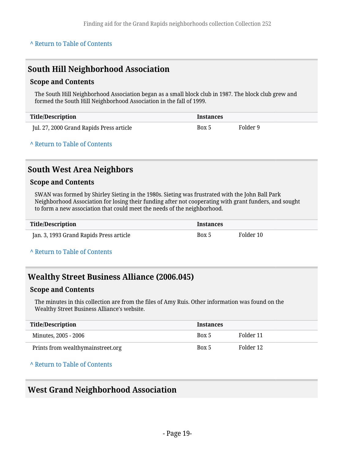### <span id="page-18-0"></span>**South Hill Neighborhood Association**

#### **Scope and Contents**

The South Hill Neighborhood Association began as a small block club in 1987. The block club grew and formed the South Hill Neighborhood Association in the fall of 1999.

| Title/Description                        | <b>Instances</b> |          |
|------------------------------------------|------------------|----------|
| Jul. 27, 2000 Grand Rapids Press article | Box 5            | Folder 9 |

**^** [Return to Table of Contents](#page-1-0)

### <span id="page-18-1"></span>**South West Area Neighbors**

#### **Scope and Contents**

SWAN was formed by Shirley Sieting in the 1980s. Sieting was frustrated with the John Ball Park Neighborhood Association for losing their funding after not cooperating with grant funders, and sought to form a new association that could meet the needs of the neighborhood.

| <b>Title/Description</b>                | <i><u><b>Instances</b></u></i> |           |
|-----------------------------------------|--------------------------------|-----------|
| Jan. 3, 1993 Grand Rapids Press article | Box 5                          | Folder 10 |

**^** [Return to Table of Contents](#page-1-0)

### <span id="page-18-2"></span>**Wealthy Street Business Alliance (2006.045)**

#### **Scope and Contents**

The minutes in this collection are from the files of Amy Ruis. Other information was found on the Wealthy Street Business Alliance's website.

| Title/Description                 | <b>Instances</b> |           |
|-----------------------------------|------------------|-----------|
| Minutes, 2005 - 2006              | Box 5            | Folder 11 |
| Prints from wealthymainstreet.org | Box 5            | Folder 12 |

**^** [Return to Table of Contents](#page-1-0)

### <span id="page-18-3"></span>**West Grand Neighborhood Association**